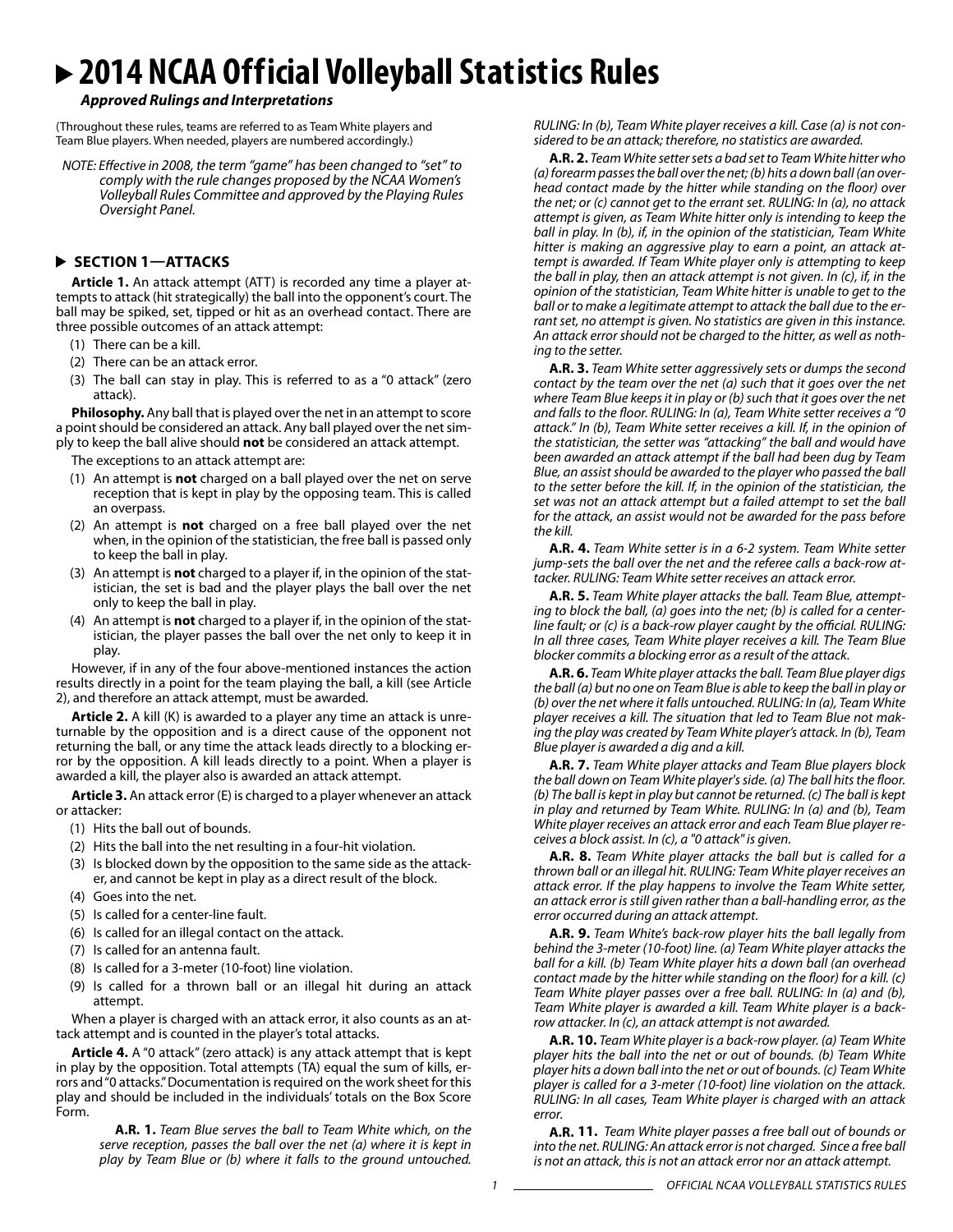# **2014 NCAA Official Volleyball Statistics Rules**

#### *Approved Rulings and Interpretations*

(Throughout these rules, teams are referred to as Team White players and Team Blue players. When needed, players are numbered accordingly.)

*NOTE: Effective in 2008, the term "game" has been changed to "set" to comply with the rule changes proposed by the NCAA Women's Volleyball Rules Committee and approved by the Playing Rules Oversight Panel.* 

#### **SECTION 1—ATTACKS**

**Article 1.** An attack attempt (ATT) is recorded any time a player attempts to attack (hit strategically) the ball into the opponent's court. The ball may be spiked, set, tipped or hit as an overhead contact. There are three possible outcomes of an attack attempt:

- (1) There can be a kill.
- (2) There can be an attack error.
- (3) The ball can stay in play. This is referred to as a "0 attack" (zero attack).

**Philosophy.** Any ball that is played over the net in an attempt to score a point should be considered an attack. Any ball played over the net simply to keep the ball alive should **not** be considered an attack attempt.

The exceptions to an attack attempt are:

- (1) An attempt is **not** charged on a ball played over the net on serve reception that is kept in play by the opposing team. This is called an overpass.
- (2) An attempt is **not** charged on a free ball played over the net when, in the opinion of the statistician, the free ball is passed only to keep the ball in play.
- (3) An attempt is **not** charged to a player if, in the opinion of the statistician, the set is bad and the player plays the ball over the net only to keep the ball in play.
- (4) An attempt is **not** charged to a player if, in the opinion of the statistician, the player passes the ball over the net only to keep it in play.

However, if in any of the four above-mentioned instances the action results directly in a point for the team playing the ball, a kill (see Article 2), and therefore an attack attempt, must be awarded.

**Article 2.** A kill (K) is awarded to a player any time an attack is unreturnable by the opposition and is a direct cause of the opponent not returning the ball, or any time the attack leads directly to a blocking error by the opposition. A kill leads directly to a point. When a player is awarded a kill, the player also is awarded an attack attempt.

**Article 3.** An attack error (E) is charged to a player whenever an attack or attacker:

- (1) Hits the ball out of bounds.
- (2) Hits the ball into the net resulting in a four-hit violation.
- (3) Is blocked down by the opposition to the same side as the attacker, and cannot be kept in play as a direct result of the block.
- (4) Goes into the net.
- (5) Is called for a center-line fault.
- (6) Is called for an illegal contact on the attack.
- (7) Is called for an antenna fault.
- (8) Is called for a 3-meter (10-foot) line violation.
- (9) Is called for a thrown ball or an illegal hit during an attack attempt.

When a player is charged with an attack error, it also counts as an attack attempt and is counted in the player's total attacks.

**Article 4.** A "0 attack" (zero attack) is any attack attempt that is kept in play by the opposition. Total attempts (TA) equal the sum of kills, errors and "0 attacks." Documentation is required on the work sheet for this play and should be included in the individuals' totals on the Box Score Form.

> **A.R. 1.** *Team Blue serves the ball to Team White which, on the serve reception, passes the ball over the net (a) where it is kept in play by Team Blue or (b) where it falls to the ground untouched.*

*RULING: In (b), Team White player receives a kill. Case (a) is not considered to be an attack; therefore, no statistics are awarded.*

**A.R. 2.** *Team White setter sets a bad set to Team White hitter who (a) forearm passes the ball over the net; (b) hits a down ball (an overhead contact made by the hitter while standing on the floor) over the net; or (c) cannot get to the errant set. RULING: In (a), no attack attempt is given, as Team White hitter only is intending to keep the ball in play. In (b), if, in the opinion of the statistician, Team White hitter is making an aggressive play to earn a point, an attack attempt is awarded. If Team White player only is attempting to keep the ball in play, then an attack attempt is not given. In (c), if, in the opinion of the statistician, Team White hitter is unable to get to the ball or to make a legitimate attempt to attack the ball due to the errant set, no attempt is given. No statistics are given in this instance. An attack error should not be charged to the hitter, as well as nothing to the setter.* 

**A.R. 3.** *Team White setter aggressively sets or dumps the second contact by the team over the net (a) such that it goes over the net where Team Blue keeps it in play or (b) such that it goes over the net and falls to the floor. RULING: In (a), Team White setter receives a "0 attack." In (b), Team White setter receives a kill. If, in the opinion of the statistician, the setter was "attacking" the ball and would have been awarded an attack attempt if the ball had been dug by Team Blue, an assist should be awarded to the player who passed the ball to the setter before the kill. If, in the opinion of the statistician, the set was not an attack attempt but a failed attempt to set the ball for the attack, an assist would not be awarded for the pass before the kill.*

**A.R. 4.** *Team White setter is in a 6-2 system. Team White setter jump-sets the ball over the net and the referee calls a back-row attacker. RULING: Team White setter receives an attack error.*

**A.R. 5.** *Team White player attacks the ball. Team Blue, attempting to block the ball, (a) goes into the net; (b) is called for a centerline fault; or (c) is a back-row player caught by the official. RULING: In all three cases, Team White player receives a kill. The Team Blue blocker commits a blocking error as a result of the attack.*

**A.R. 6.** *Team White player attacks the ball. Team Blue player digs the ball (a) but no one on Team Blue is able to keep the ball in play or (b) over the net where it falls untouched. RULING: In (a), Team White player receives a kill. The situation that led to Team Blue not making the play was created by Team White player's attack. In (b), Team Blue player is awarded a dig and a kill.*

**A.R. 7.** *Team White player attacks and Team Blue players block the ball down on Team White player's side. (a) The ball hits the floor. (b) The ball is kept in play but cannot be returned. (c) The ball is kept in play and returned by Team White. RULING: In (a) and (b), Team White player receives an attack error and each Team Blue player receives a block assist. In (c), a "0 attack" is given.*

**A.R. 8.** *Team White player attacks the ball but is called for a thrown ball or an illegal hit. RULING: Team White player receives an attack error. If the play happens to involve the Team White setter, an attack error is still given rather than a ball-handling error, as the error occurred during an attack attempt.*

**A.R. 9.** *Team White's back-row player hits the ball legally from behind the 3-meter (10-foot) line. (a) Team White player attacks the ball for a kill. (b) Team White player hits a down ball (an overhead contact made by the hitter while standing on the floor) for a kill. (c) Team White player passes over a free ball. RULING: In (a) and (b), Team White player is awarded a kill. Team White player is a backrow attacker. In (c), an attack attempt is not awarded.* 

**A.R. 10.** *Team White player is a back-row player. (a) Team White player hits the ball into the net or out of bounds. (b) Team White player hits a down ball into the net or out of bounds. (c) Team White player is called for a 3-meter (10-foot) line violation on the attack. RULING: In all cases, Team White player is charged with an attack error.* 

**A.R. 11.** *Team White player passes a free ball out of bounds or into the net. RULING: An attack error is not charged. Since a free ball is not an attack, this is not an attack error nor an attack attempt.*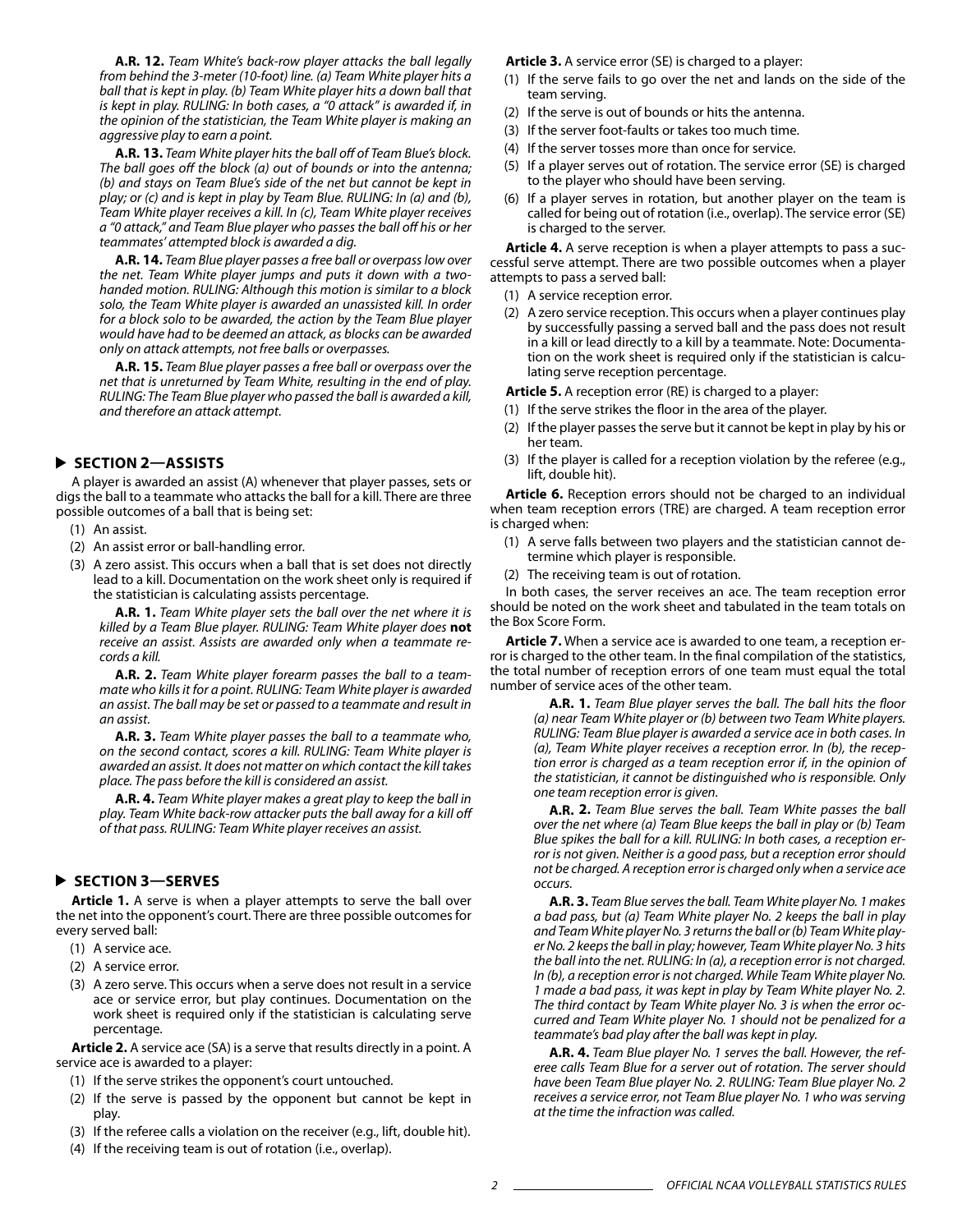**A.R. 12.** *Team White's back-row player attacks the ball legally from behind the 3-meter (10-foot) line. (a) Team White player hits a ball that is kept in play. (b) Team White player hits a down ball that is kept in play. RULING: In both cases, a "0 attack" is awarded if, in the opinion of the statistician, the Team White player is making an aggressive play to earn a point.*

**A.R. 13.** *Team White player hits the ball off of Team Blue's block. The ball goes off the block (a) out of bounds or into the antenna; (b) and stays on Team Blue's side of the net but cannot be kept in play; or (c) and is kept in play by Team Blue. RULING: In (a) and (b), Team White player receives a kill. In (c), Team White player receives a "0 attack," and Team Blue player who passes the ball off his or her teammates' attempted block is awarded a dig.*

**A.R. 14.** *Team Blue player passes a free ball or overpass low over the net. Team White player jumps and puts it down with a twohanded motion. RULING: Although this motion is similar to a block solo, the Team White player is awarded an unassisted kill. In order for a block solo to be awarded, the action by the Team Blue player would have had to be deemed an attack, as blocks can be awarded only on attack attempts, not free balls or overpasses.*

**A.R. 15.** *Team Blue player passes a free ball or overpass over the net that is unreturned by Team White, resulting in the end of play. RULING: The Team Blue player who passed the ball is awarded a kill, and therefore an attack attempt.*

#### **SECTION 2—ASSISTS**

A player is awarded an assist (A) whenever that player passes, sets or digs the ball to a teammate who attacks the ball for a kill. There are three possible outcomes of a ball that is being set:

- (1) An assist.
- (2) An assist error or ball-handling error.
- (3) A zero assist. This occurs when a ball that is set does not directly lead to a kill. Documentation on the work sheet only is required if the statistician is calculating assists percentage.

**A.R. 1.** *Team White player sets the ball over the net where it is killed by a Team Blue player. RULING: Team White player does* **not** *receive an assist. Assists are awarded only when a teammate records a kill.*

**A.R. 2.** *Team White player forearm passes the ball to a teammate who kills it for a point. RULING: Team White player is awarded an assist. The ball may be set or passed to a teammate and result in an assist.*

**A.R. 3.** *Team White player passes the ball to a teammate who, on the second contact, scores a kill. RULING: Team White player is awarded an assist. It does not matter on which contact the kill takes place. The pass before the kill is considered an assist.*

**A.R. 4.** *Team White player makes a great play to keep the ball in play. Team White back-row attacker puts the ball away for a kill off of that pass. RULING: Team White player receives an assist.*

#### **SECTION 3—SERVES**

**Article 1.** A serve is when a player attempts to serve the ball over the net into the opponent's court. There are three possible outcomes for every served ball:

- (1) A service ace.
- (2) A service error.
- (3) A zero serve. This occurs when a serve does not result in a service ace or service error, but play continues. Documentation on the work sheet is required only if the statistician is calculating serve percentage.

**Article 2.** A service ace (SA) is a serve that results directly in a point. A service ace is awarded to a player:

- (1) If the serve strikes the opponent's court untouched.
- (2) If the serve is passed by the opponent but cannot be kept in play.
- (3) If the referee calls a violation on the receiver (e.g., lift, double hit).
- (4) If the receiving team is out of rotation (i.e., overlap).

**Article 3.** A service error (SE) is charged to a player:

- (1) If the serve fails to go over the net and lands on the side of the team serving.
- (2) If the serve is out of bounds or hits the antenna.
- (3) If the server foot-faults or takes too much time.
- (4) If the server tosses more than once for service.
- (5) If a player serves out of rotation. The service error (SE) is charged to the player who should have been serving.
- (6) If a player serves in rotation, but another player on the team is called for being out of rotation (i.e., overlap). The service error (SE) is charged to the server.

**Article 4.** A serve reception is when a player attempts to pass a successful serve attempt. There are two possible outcomes when a player attempts to pass a served ball:

- (1) A service reception error.
- (2) A zero service reception. This occurs when a player continues play by successfully passing a served ball and the pass does not result in a kill or lead directly to a kill by a teammate. Note: Documentation on the work sheet is required only if the statistician is calculating serve reception percentage.

**Article 5.** A reception error (RE) is charged to a player:

- (1) If the serve strikes the floor in the area of the player.
- (2) If the player passes the serve but it cannot be kept in play by his or her team.
- (3) If the player is called for a reception violation by the referee (e.g., lift, double hit).

**Article 6.** Reception errors should not be charged to an individual when team reception errors (TRE) are charged. A team reception error is charged when:

- (1) A serve falls between two players and the statistician cannot determine which player is responsible.
- (2) The receiving team is out of rotation.

In both cases, the server receives an ace. The team reception error should be noted on the work sheet and tabulated in the team totals on the Box Score Form.

**Article 7.** When a service ace is awarded to one team, a reception error is charged to the other team. In the final compilation of the statistics, the total number of reception errors of one team must equal the total number of service aces of the other team.

> **A.R. 1.** *Team Blue player serves the ball. The ball hits the floor (a) near Team White player or (b) between two Team White players. RULING: Team Blue player is awarded a service ace in both cases. In (a), Team White player receives a reception error. In (b), the reception error is charged as a team reception error if, in the opinion of the statistician, it cannot be distinguished who is responsible. Only one team reception error is given.*

> **A.R. 2.** *Team Blue serves the ball. Team White passes the ball over the net where (a) Team Blue keeps the ball in play or (b) Team Blue spikes the ball for a kill. RULING: In both cases, a reception error is not given. Neither is a good pass, but a reception error should not be charged. A reception error is charged only when a service ace occurs.*

> **A.R. 3.** *Team Blue serves the ball. Team White player No. 1 makes a bad pass, but (a) Team White player No. 2 keeps the ball in play and Team White player No. 3 returns the ball or (b) Team White player No. 2 keeps the ball in play; however, Team White player No. 3 hits the ball into the net. RULING: In (a), a reception error is not charged. In (b), a reception error is not charged. While Team White player No. 1 made a bad pass, it was kept in play by Team White player No. 2. The third contact by Team White player No. 3 is when the error occurred and Team White player No. 1 should not be penalized for a teammate's bad play after the ball was kept in play.*

> **A.R. 4.** *Team Blue player No. 1 serves the ball. However, the referee calls Team Blue for a server out of rotation. The server should have been Team Blue player No. 2. RULING: Team Blue player No. 2 receives a service error, not Team Blue player No. 1 who was serving at the time the infraction was called.*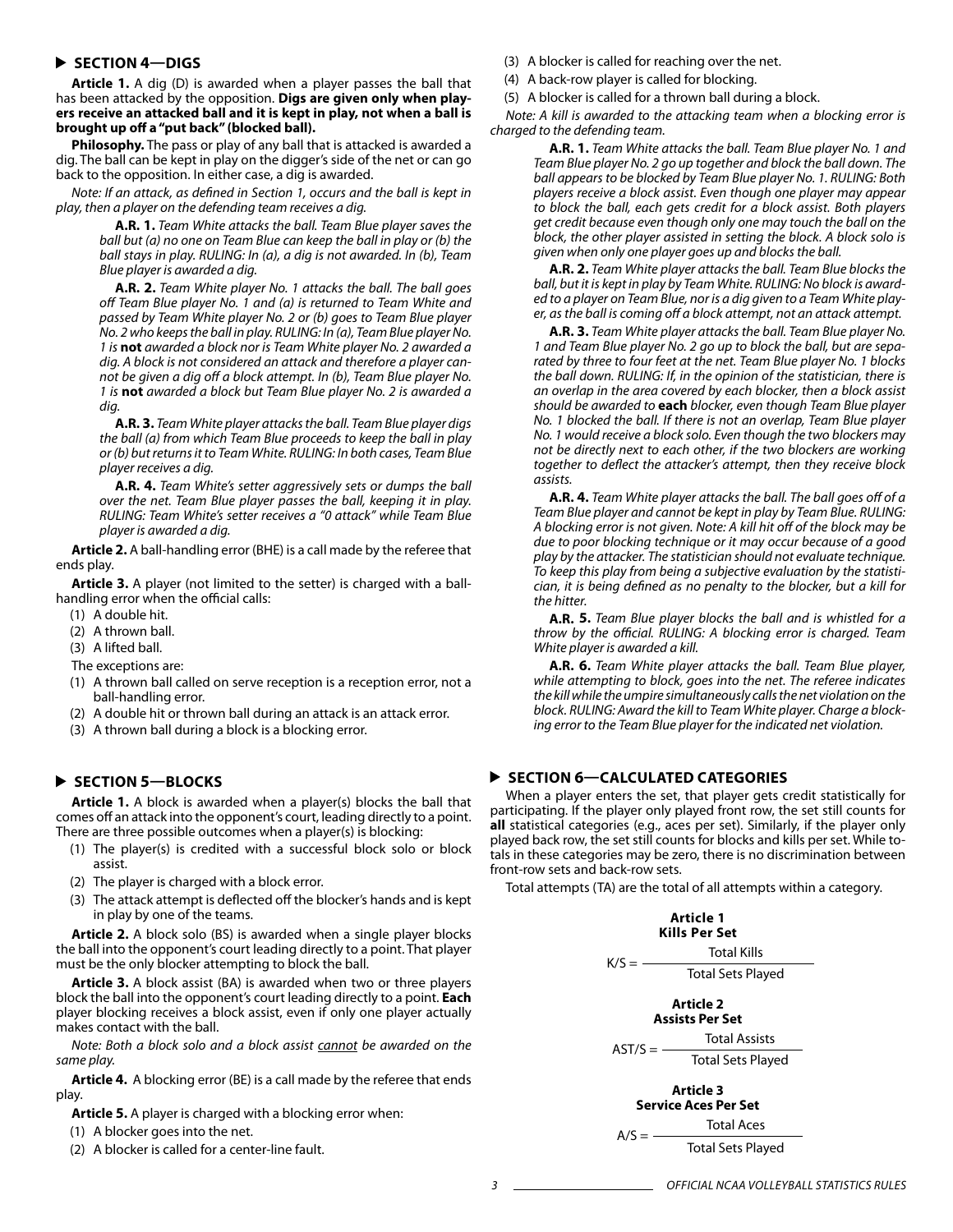### **SECTION 4—DIGS**

**Article 1.** A dig (D) is awarded when a player passes the ball that has been attacked by the opposition. **Digs are given only when players receive an attacked ball and it is kept in play, not when a ball is brought up off a "put back" (blocked ball).**

**Philosophy.** The pass or play of any ball that is attacked is awarded a dig. The ball can be kept in play on the digger's side of the net or can go back to the opposition. In either case, a dig is awarded.

*Note: If an attack, as defined in Section 1, occurs and the ball is kept in play, then a player on the defending team receives a dig.*

> **A.R. 1.** *Team White attacks the ball. Team Blue player saves the ball but (a) no one on Team Blue can keep the ball in play or (b) the ball stays in play. RULING: In (a), a dig is not awarded. In (b), Team Blue player is awarded a dig.*

> **A.R. 2.** *Team White player No. 1 attacks the ball. The ball goes off Team Blue player No. 1 and (a) is returned to Team White and passed by Team White player No. 2 or (b) goes to Team Blue player No. 2 who keeps the ball in play. RULING: In (a), Team Blue player No. 1 is* **not** *awarded a block nor is Team White player No. 2 awarded a dig. A block is not considered an attack and therefore a player cannot be given a dig off a block attempt. In (b), Team Blue player No. 1 is* **not** *awarded a block but Team Blue player No. 2 is awarded a dig.*

> **A.R. 3.** *Team White player attacks the ball. Team Blue player digs the ball (a) from which Team Blue proceeds to keep the ball in play or (b) but returns it to Team White. RULING: In both cases, Team Blue player receives a dig.*

> **A.R. 4.** *Team White's setter aggressively sets or dumps the ball over the net. Team Blue player passes the ball, keeping it in play. RULING: Team White's setter receives a "0 attack" while Team Blue player is awarded a dig.*

**Article 2.** A ball-handling error (BHE) is a call made by the referee that ends play.

**Article 3.** A player (not limited to the setter) is charged with a ballhandling error when the official calls:

- (1) A double hit.
- (2) A thrown ball.
- (3) A lifted ball.
- The exceptions are:
- (1) A thrown ball called on serve reception is a reception error, not a ball-handling error.
- (2) A double hit or thrown ball during an attack is an attack error.
- (3) A thrown ball during a block is a blocking error.

#### **SECTION 5—BLOCKS**

**Article 1.** A block is awarded when a player(s) blocks the ball that comes off an attack into the opponent's court, leading directly to a point. There are three possible outcomes when a player(s) is blocking:

- (1) The player(s) is credited with a successful block solo or block assist.
- (2) The player is charged with a block error.
- (3) The attack attempt is deflected off the blocker's hands and is kept in play by one of the teams.

**Article 2.** A block solo (BS) is awarded when a single player blocks the ball into the opponent's court leading directly to a point. That player must be the only blocker attempting to block the ball.

**Article 3.** A block assist (BA) is awarded when two or three players block the ball into the opponent's court leading directly to a point. **Each**  player blocking receives a block assist, even if only one player actually makes contact with the ball.

*Note: Both a block solo and a block assist cannot be awarded on the same play.*

**Article 4.** A blocking error (BE) is a call made by the referee that ends play.

**Article 5.** A player is charged with a blocking error when:

- (1) A blocker goes into the net.
- (2) A blocker is called for a center-line fault.
- (3) A blocker is called for reaching over the net.
- (4) A back-row player is called for blocking.
- (5) A blocker is called for a thrown ball during a block.

*Note: A kill is awarded to the attacking team when a blocking error is charged to the defending team.*

> **A.R. 1.** *Team White attacks the ball. Team Blue player No. 1 and Team Blue player No. 2 go up together and block the ball down. The ball appears to be blocked by Team Blue player No. 1. RULING: Both players receive a block assist. Even though one player may appear to block the ball, each gets credit for a block assist. Both players get credit because even though only one may touch the ball on the block, the other player assisted in setting the block. A block solo is given when only one player goes up and blocks the ball.*

> **A.R. 2.** *Team White player attacks the ball. Team Blue blocks the ball, but it is kept in play by Team White. RULING: No block is awarded to a player on Team Blue, nor is a dig given to a Team White player, as the ball is coming off a block attempt, not an attack attempt.*

> **A.R. 3.** *Team White player attacks the ball. Team Blue player No. 1 and Team Blue player No. 2 go up to block the ball, but are separated by three to four feet at the net. Team Blue player No. 1 blocks the ball down. RULING: If, in the opinion of the statistician, there is an overlap in the area covered by each blocker, then a block assist should be awarded to* **each** *blocker, even though Team Blue player No. 1 blocked the ball. If there is not an overlap, Team Blue player No. 1 would receive a block solo. Even though the two blockers may not be directly next to each other, if the two blockers are working together to deflect the attacker's attempt, then they receive block assists.*

> **A.R. 4.** *Team White player attacks the ball. The ball goes off of a Team Blue player and cannot be kept in play by Team Blue. RULING: A blocking error is not given. Note: A kill hit off of the block may be due to poor blocking technique or it may occur because of a good play by the attacker. The statistician should not evaluate technique. To keep this play from being a subjective evaluation by the statistician, it is being defined as no penalty to the blocker, but a kill for the hitter.*

> **A.R. 5.** *Team Blue player blocks the ball and is whistled for a throw by the official. RULING: A blocking error is charged. Team White player is awarded a kill.*

> **A.R. 6.** *Team White player attacks the ball. Team Blue player, while attempting to block, goes into the net. The referee indicates the kill while the umpire simultaneously calls the net violation on the block. RULING: Award the kill to Team White player. Charge a blocking error to the Team Blue player for the indicated net violation.*

### **SECTION 6—CALCULATED CATEGORIES**

When a player enters the set, that player gets credit statistically for participating. If the player only played front row, the set still counts for **all** statistical categories (e.g., aces per set). Similarly, if the player only played back row, the set still counts for blocks and kills per set. While totals in these categories may be zero, there is no discrimination between front-row sets and back-row sets.

Total attempts (TA) are the total of all attempts within a category.

|           | Article 1<br>Kills Per Set               |
|-----------|------------------------------------------|
| $K/S =$   | <b>Total Kills</b>                       |
|           | <b>Total Sets Played</b>                 |
|           | Article 2<br><b>Assists Per Set</b>      |
| $AST/S =$ | <b>Total Assists</b>                     |
|           | <b>Total Sets Played</b>                 |
|           | Article 3<br><b>Service Aces Per Set</b> |
| A/S       | <b>Total Aces</b>                        |
|           | <b>Total Sets Played</b>                 |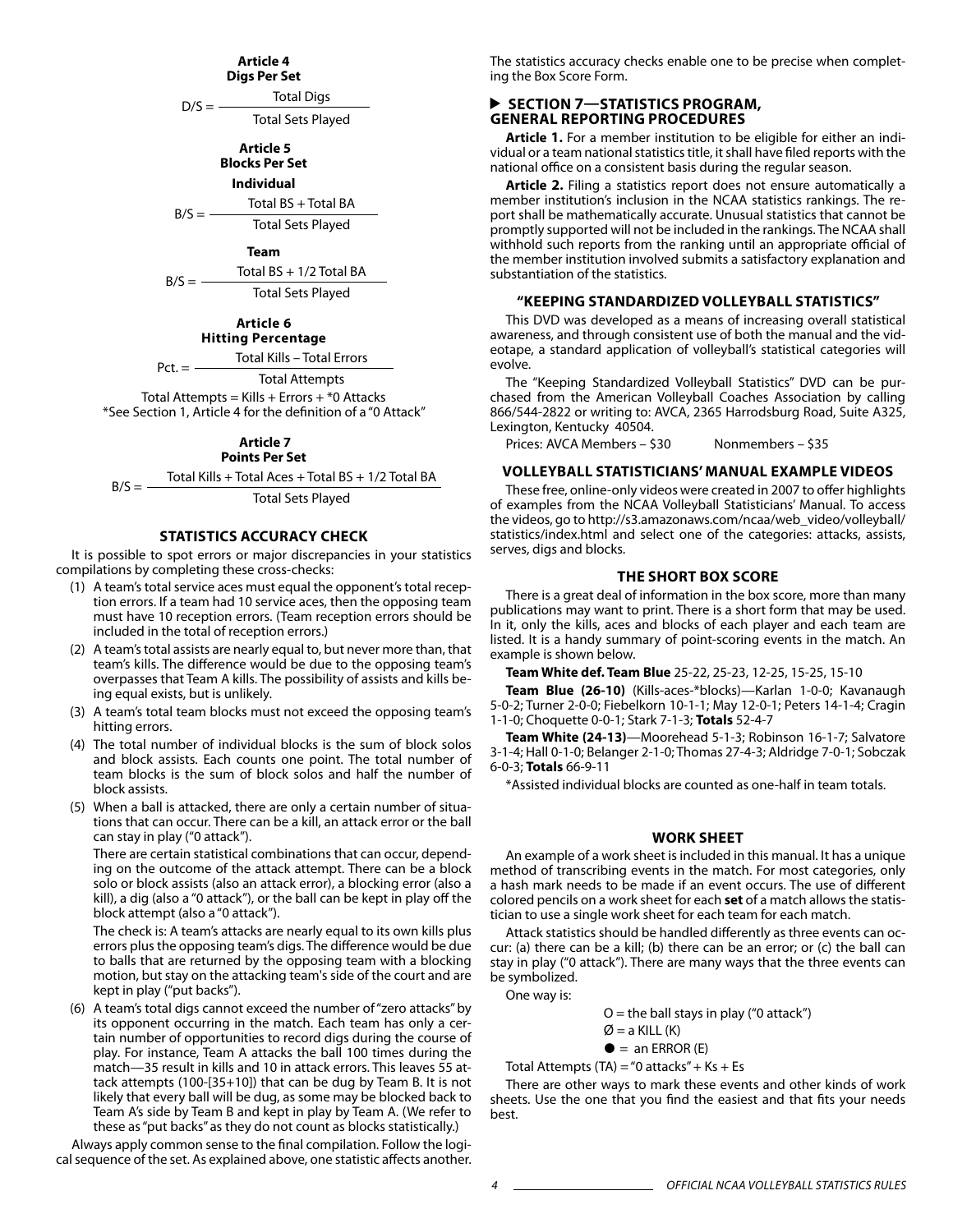### **Article 4**

**Digs Per Set**

 $D/S =$  Total Digs Total Sets Played

> **Article 5 Blocks Per Set**

> > **Individual**

 $B/S = -$ Total BS + Total BA Total Sets Played

**Team**

$$
B/S = \frac{\text{Total BS} + \frac{1}{2} \text{Total BA}}{\text{Total Sets Player}}
$$

**Article 6 Hitting Percentage**

 $Pct. = -$ Total Kills – Total Errors

Total Attempts

Total Attempts = Kills + Errors +  $*$ 0 Attacks \*See Section 1, Article 4 for the definition of a "0 Attack"

### **Article 7**

**Points Per Set**

 $B/S =$  Total Kills + Total Aces + Total BS + 1/2 Total BA

Total Sets Played

#### **STATISTICS ACCURACY CHECK**

It is possible to spot errors or major discrepancies in your statistics compilations by completing these cross-checks:

- (1) A team's total service aces must equal the opponent's total reception errors. If a team had 10 service aces, then the opposing team must have 10 reception errors. (Team reception errors should be included in the total of reception errors.)
- (2) A team's total assists are nearly equal to, but never more than, that team's kills. The difference would be due to the opposing team's overpasses that Team A kills. The possibility of assists and kills being equal exists, but is unlikely.
- (3) A team's total team blocks must not exceed the opposing team's hitting errors.
- (4) The total number of individual blocks is the sum of block solos and block assists. Each counts one point. The total number of team blocks is the sum of block solos and half the number of block assists.
- (5) When a ball is attacked, there are only a certain number of situations that can occur. There can be a kill, an attack error or the ball can stay in play ("0 attack").

There are certain statistical combinations that can occur, depending on the outcome of the attack attempt. There can be a block solo or block assists (also an attack error), a blocking error (also a kill), a dig (also a "0 attack"), or the ball can be kept in play off the block attempt (also a "0 attack").

The check is: A team's attacks are nearly equal to its own kills plus errors plus the opposing team's digs. The difference would be due to balls that are returned by the opposing team with a blocking motion, but stay on the attacking team's side of the court and are kept in play ("put backs").

(6) A team's total digs cannot exceed the number of "zero attacks" by its opponent occurring in the match. Each team has only a certain number of opportunities to record digs during the course of play. For instance, Team A attacks the ball 100 times during the match—35 result in kills and 10 in attack errors. This leaves 55 attack attempts (100-[35+10]) that can be dug by Team B. It is not likely that every ball will be dug, as some may be blocked back to Team A's side by Team B and kept in play by Team A. (We refer to these as "put backs" as they do not count as blocks statistically.)

Always apply common sense to the final compilation. Follow the logical sequence of the set. As explained above, one statistic affects another. The statistics accuracy checks enable one to be precise when completing the Box Score Form.

#### **SECTION 7-STATISTICS PROGRAM, GENERAL REPORTING PROCEDURES**

**Article 1.** For a member institution to be eligible for either an individual or a team national statistics title, it shall have filed reports with the national office on a consistent basis during the regular season.

**Article 2.** Filing a statistics report does not ensure automatically a member institution's inclusion in the NCAA statistics rankings. The report shall be mathematically accurate. Unusual statistics that cannot be promptly supported will not be included in the rankings. The NCAA shall withhold such reports from the ranking until an appropriate official of the member institution involved submits a satisfactory explanation and substantiation of the statistics.

#### **"Keeping Standardized Volleyball Statistics"**

This DVD was developed as a means of increasing overall statistical awareness, and through consistent use of both the manual and the videotape, a standard application of volleyball's statistical categories will evolve.

The "Keeping Standardized Volleyball Statistics" DVD can be purchased from the American Volleyball Coaches Association by calling 866/544-2822 or writing to: AVCA, 2365 Harrodsburg Road, Suite A325, Lexington, Kentucky 40504.

Prices: AVCA Members – \$30 Nonmembers – \$35

#### **Volleyball STatisticians' Manual Example Videos**

These free, online-only videos were created in 2007 to offer highlights of examples from the NCAA Volleyball Statisticians' Manual. To access the videos, go to http://s3.amazonaws.com/ncaa/web\_video/volleyball/ statistics/index.html and select one of the categories: attacks, assists, serves, digs and blocks.

#### **THE SHORT BOX SCORE**

There is a great deal of information in the box score, more than many publications may want to print. There is a short form that may be used. In it, only the kills, aces and blocks of each player and each team are listed. It is a handy summary of point-scoring events in the match. An example is shown below.

**Team White def. Team Blue** 25-22, 25-23, 12-25, 15-25, 15-10

**Team Blue (26-10)** (Kills-aces-\*blocks)—Karlan 1-0-0; Kavanaugh 5-0-2; Turner 2-0-0; Fiebelkorn 10-1-1; May 12-0-1; Peters 14-1-4; Cragin 1-1-0; Choquette 0-0-1; Stark 7-1-3; **Totals** 52-4-7

**Team White (24-13)**—Moorehead 5-1-3; Robinson 16-1-7; Salvatore 3-1-4; Hall 0-1-0; Belanger 2-1-0; Thomas 27-4-3; Aldridge 7-0-1; Sobczak 6-0-3; **Totals** 66-9-11

\*Assisted individual blocks are counted as one-half in team totals.

#### **WORK SHEET**

An example of a work sheet is included in this manual. It has a unique method of transcribing events in the match. For most categories, only a hash mark needs to be made if an event occurs. The use of different colored pencils on a work sheet for each **set** of a match allows the statistician to use a single work sheet for each team for each match.

Attack statistics should be handled differently as three events can occur: (a) there can be a kill; (b) there can be an error; or (c) the ball can stay in play ("0 attack"). There are many ways that the three events can be symbolized.

One way is:

 $O =$  the ball stays in play ("0 attack")

 $\varnothing$  = a KILL (K)

 $\bullet$  = an ERROR (E)

Total Attempts (TA) = "0 attacks" +  $Ks$  + Es

There are other ways to mark these events and other kinds of work sheets. Use the one that you find the easiest and that fits your needs best.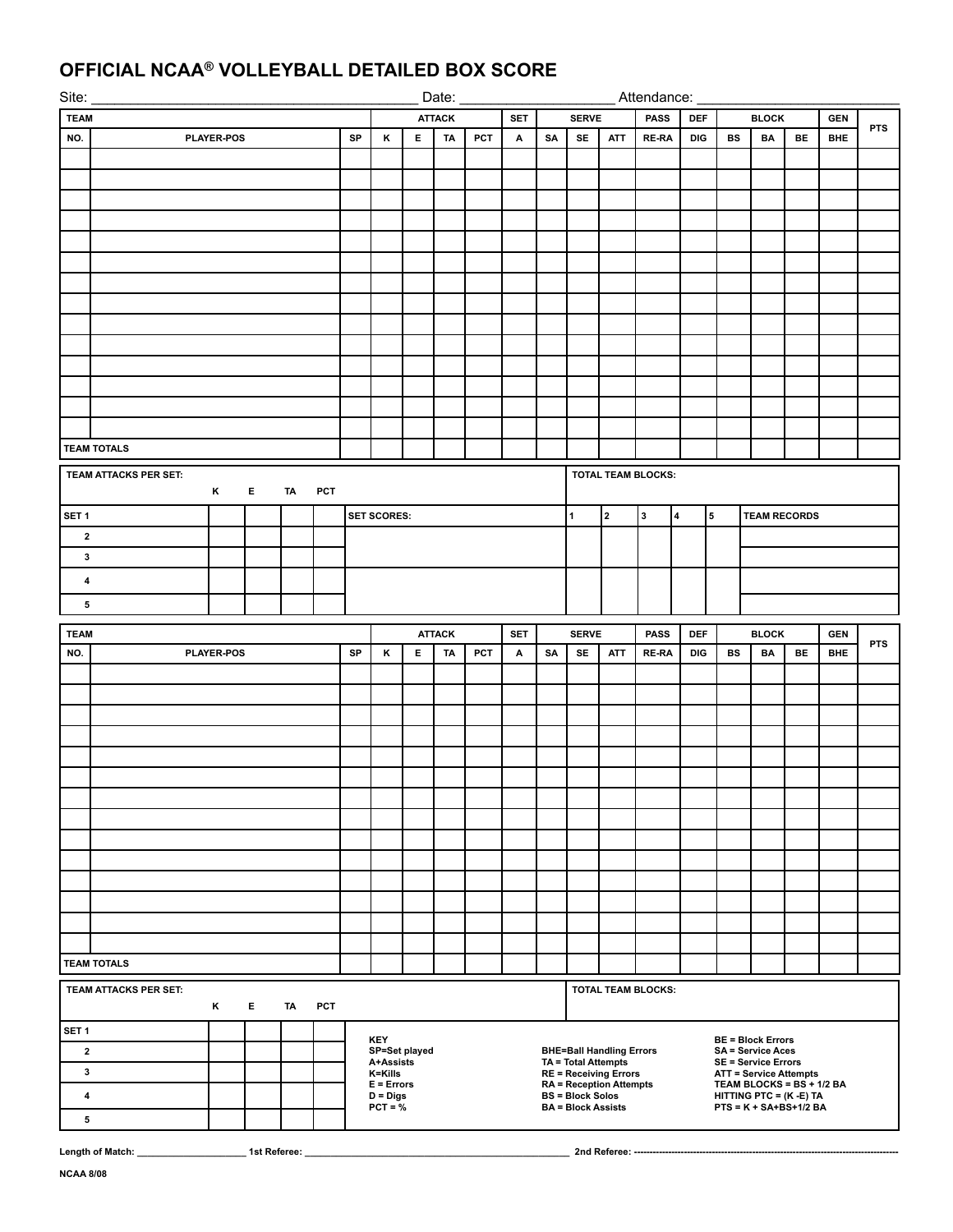# **OFFICIAL NCAA® VOLLEYBALL DETAILED BOX SCORE**

| Site:                                                             |                       | Date:             |    |    |     |    |                             |                             | Attendance: |     |   |    |                           |                                                            |              |                         |   |              |                                                      |                                                      |            |            |
|-------------------------------------------------------------------|-----------------------|-------------------|----|----|-----|----|-----------------------------|-----------------------------|-------------|-----|---|----|---------------------------|------------------------------------------------------------|--------------|-------------------------|---|--------------|------------------------------------------------------|------------------------------------------------------|------------|------------|
| <b>TEAM</b>                                                       |                       |                   |    |    |     |    | <b>ATTACK</b><br>SET        |                             |             |     |   |    | <b>SERVE</b>              |                                                            |              | PASS<br>DEF             |   |              | <b>BLOCK</b>                                         |                                                      | <b>GEN</b> | <b>PTS</b> |
| NO.                                                               |                       | <b>PLAYER-POS</b> |    |    |     | SP | Κ                           | $\mathsf E$ .               | TA          | PCT | A | SA | <b>SE</b>                 | ATT                                                        | <b>RE-RA</b> | DIG                     |   | <b>BS</b>    | BA                                                   | BE                                                   | <b>BHE</b> |            |
|                                                                   |                       |                   |    |    |     |    |                             |                             |             |     |   |    |                           |                                                            |              |                         |   |              |                                                      |                                                      |            |            |
|                                                                   |                       |                   |    |    |     |    |                             |                             |             |     |   |    |                           |                                                            |              |                         |   |              |                                                      |                                                      |            |            |
|                                                                   |                       |                   |    |    |     |    |                             |                             |             |     |   |    |                           |                                                            |              |                         |   |              |                                                      |                                                      |            |            |
|                                                                   |                       |                   |    |    |     |    |                             |                             |             |     |   |    |                           |                                                            |              |                         |   |              |                                                      |                                                      |            |            |
|                                                                   |                       |                   |    |    |     |    |                             |                             |             |     |   |    |                           |                                                            |              |                         |   |              |                                                      |                                                      |            |            |
|                                                                   |                       |                   |    |    |     |    |                             |                             |             |     |   |    |                           |                                                            |              |                         |   |              |                                                      |                                                      |            |            |
|                                                                   |                       |                   |    |    |     |    |                             |                             |             |     |   |    |                           |                                                            |              |                         |   |              |                                                      |                                                      |            |            |
|                                                                   |                       |                   |    |    |     |    |                             |                             |             |     |   |    |                           |                                                            |              |                         |   |              |                                                      |                                                      |            |            |
|                                                                   |                       |                   |    |    |     |    |                             |                             |             |     |   |    |                           |                                                            |              |                         |   |              |                                                      |                                                      |            |            |
|                                                                   |                       |                   |    |    |     |    |                             |                             |             |     |   |    |                           |                                                            |              |                         |   |              |                                                      |                                                      |            |            |
|                                                                   |                       |                   |    |    |     |    |                             |                             |             |     |   |    |                           |                                                            |              |                         |   |              |                                                      |                                                      |            |            |
|                                                                   |                       |                   |    |    |     |    |                             |                             |             |     |   |    |                           |                                                            |              |                         |   |              |                                                      |                                                      |            |            |
|                                                                   |                       |                   |    |    |     |    |                             |                             |             |     |   |    |                           |                                                            |              |                         |   |              |                                                      |                                                      |            |            |
|                                                                   | <b>TEAM TOTALS</b>    |                   |    |    |     |    |                             |                             |             |     |   |    |                           |                                                            |              |                         |   |              |                                                      |                                                      |            |            |
|                                                                   |                       |                   |    |    |     |    |                             |                             |             |     |   |    |                           | <b>TOTAL TEAM BLOCKS:</b>                                  |              |                         |   |              |                                                      |                                                      |            |            |
| TEAM ATTACKS PER SET:<br>$K$ and $\sim$<br>E.<br><b>TA</b><br>PCT |                       |                   |    |    |     |    |                             |                             |             |     |   |    |                           |                                                            |              |                         |   |              |                                                      |                                                      |            |            |
| SET <sub>1</sub>                                                  |                       |                   |    |    |     |    | <b>SET SCORES:</b>          |                             |             |     |   |    | $\mathbf{1}$              | 2                                                          | 3            | $\overline{\mathbf{4}}$ | 5 |              |                                                      | <b>TEAM RECORDS</b>                                  |            |            |
| $\overline{2}$                                                    |                       |                   |    |    |     |    |                             |                             |             |     |   |    |                           |                                                            |              |                         |   |              |                                                      |                                                      |            |            |
| $\mathbf{3}$                                                      |                       |                   |    |    |     |    |                             |                             |             |     |   |    |                           |                                                            |              |                         |   |              |                                                      |                                                      |            |            |
| $\overline{\mathbf{4}}$                                           |                       |                   |    |    |     |    |                             |                             |             |     |   |    |                           |                                                            |              |                         |   |              |                                                      |                                                      |            |            |
| $\overline{\mathbf{5}}$                                           |                       |                   |    |    |     |    |                             |                             |             |     |   |    |                           |                                                            |              |                         |   |              |                                                      |                                                      |            |            |
|                                                                   |                       |                   |    |    |     |    |                             |                             |             |     |   |    |                           |                                                            |              |                         |   |              |                                                      |                                                      |            |            |
| <b>TEAM</b>                                                       |                       |                   |    |    |     |    |                             | <b>ATTACK</b><br><b>SET</b> |             |     |   |    |                           | <b>SERVE</b><br><b>PASS</b>                                |              |                         |   | <b>BLOCK</b> |                                                      |                                                      |            |            |
|                                                                   |                       |                   |    |    |     |    |                             |                             |             |     |   |    |                           |                                                            |              | <b>DEF</b>              |   |              |                                                      |                                                      | <b>GEN</b> | <b>PTS</b> |
| NO.                                                               |                       | <b>PLAYER-POS</b> |    |    |     | SP | κ                           | E.                          | TA          | PCT | Α | SA | <b>SE</b>                 | <b>ATT</b>                                                 | RE-RA        | DIG                     |   | BS           | BA                                                   | BE                                                   | <b>BHE</b> |            |
|                                                                   |                       |                   |    |    |     |    |                             |                             |             |     |   |    |                           |                                                            |              |                         |   |              |                                                      |                                                      |            |            |
|                                                                   |                       |                   |    |    |     |    |                             |                             |             |     |   |    |                           |                                                            |              |                         |   |              |                                                      |                                                      |            |            |
|                                                                   |                       |                   |    |    |     |    |                             |                             |             |     |   |    |                           |                                                            |              |                         |   |              |                                                      |                                                      |            |            |
|                                                                   |                       |                   |    |    |     |    |                             |                             |             |     |   |    |                           |                                                            |              |                         |   |              |                                                      |                                                      |            |            |
|                                                                   |                       |                   |    |    |     |    |                             |                             |             |     |   |    |                           |                                                            |              |                         |   |              |                                                      |                                                      |            |            |
|                                                                   |                       |                   |    |    |     |    |                             |                             |             |     |   |    |                           |                                                            |              |                         |   |              |                                                      |                                                      |            |            |
|                                                                   |                       |                   |    |    |     |    |                             |                             |             |     |   |    |                           |                                                            |              |                         |   |              |                                                      |                                                      |            |            |
|                                                                   |                       |                   |    |    |     |    |                             |                             |             |     |   |    |                           |                                                            |              |                         |   |              |                                                      |                                                      |            |            |
|                                                                   |                       |                   |    |    |     |    |                             |                             |             |     |   |    |                           |                                                            |              |                         |   |              |                                                      |                                                      |            |            |
|                                                                   |                       |                   |    |    |     |    |                             |                             |             |     |   |    |                           |                                                            |              |                         |   |              |                                                      |                                                      |            |            |
|                                                                   |                       |                   |    |    |     |    |                             |                             |             |     |   |    |                           |                                                            |              |                         |   |              |                                                      |                                                      |            |            |
|                                                                   |                       |                   |    |    |     |    |                             |                             |             |     |   |    |                           |                                                            |              |                         |   |              |                                                      |                                                      |            |            |
|                                                                   |                       |                   |    |    |     |    |                             |                             |             |     |   |    |                           |                                                            |              |                         |   |              |                                                      |                                                      |            |            |
|                                                                   | <b>TEAM TOTALS</b>    |                   |    |    |     |    |                             |                             |             |     |   |    |                           |                                                            |              |                         |   |              |                                                      |                                                      |            |            |
|                                                                   | TEAM ATTACKS PER SET: | K                 | E. | TA | PCT |    |                             |                             |             |     |   |    |                           | TOTAL TEAM BLOCKS:                                         |              |                         |   |              |                                                      |                                                      |            |            |
| SET 1                                                             |                       |                   |    |    |     |    |                             |                             |             |     |   |    |                           |                                                            |              |                         |   |              |                                                      |                                                      |            |            |
| $\mathbf{2}$                                                      |                       |                   |    |    |     |    | <b>KEY</b><br>SP=Set played |                             |             |     |   |    |                           | <b>BHE=Ball Handling Errors</b>                            |              |                         |   |              | <b>BE = Block Errors</b><br><b>SA = Service Aces</b> |                                                      |            |            |
| $\mathbf{3}$                                                      |                       |                   |    |    |     |    | A+Assists<br>K=Kills        |                             |             |     |   |    |                           | <b>TA = Total Attempts</b><br><b>RE = Receiving Errors</b> |              |                         |   |              | <b>SE = Service Errors</b>                           | <b>ATT = Service Attempts</b>                        |            |            |
| 4                                                                 |                       |                   |    |    |     |    | $E = Errors$                |                             |             |     |   |    | <b>BS = Block Solos</b>   | <b>RA = Reception Attempts</b>                             |              |                         |   |              |                                                      | TEAM BLOCKS = BS + 1/2 BA<br>HITTING PTC = (K -E) TA |            |            |
|                                                                   |                       |                   |    |    |     |    | $D = Digs$<br>$PCT = %$     |                             |             |     |   |    | <b>BA = Block Assists</b> |                                                            |              |                         |   |              |                                                      | $PTS = K + SA + BS + 1/2 BA$                         |            |            |
| 5                                                                 |                       |                   |    |    |     |    |                             |                             |             |     |   |    |                           |                                                            |              |                         |   |              |                                                      |                                                      |            |            |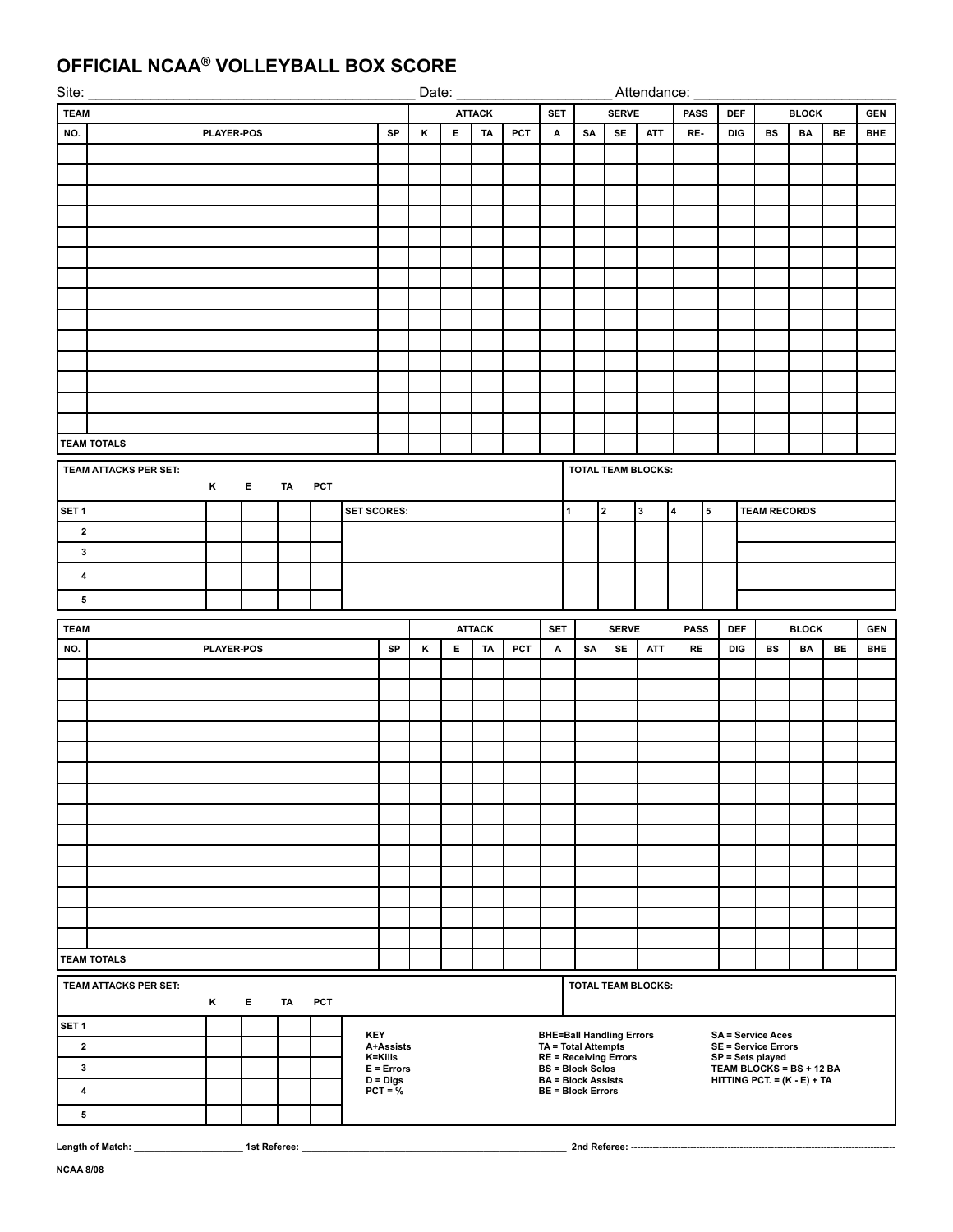# **OFFICIAL NCAA® VOLLEYBALL BOX SCORE**

| Site:                   |                         | Date:             |    |               |     |                    |                            |   | Attendance:        |                                                                          |     |                                                      |              |                                                            |            |                         |           |                                                           |                     |              |           |            |
|-------------------------|-------------------------|-------------------|----|---------------|-----|--------------------|----------------------------|---|--------------------|--------------------------------------------------------------------------|-----|------------------------------------------------------|--------------|------------------------------------------------------------|------------|-------------------------|-----------|-----------------------------------------------------------|---------------------|--------------|-----------|------------|
| <b>TEAM</b>             |                         |                   |    | <b>ATTACK</b> |     | <b>SET</b>         |                            |   | <b>PASS</b><br>DEF |                                                                          |     | <b>BLOCK</b>                                         |              |                                                            |            |                         |           |                                                           |                     |              |           |            |
| NO.                     | <b>PLAYER-POS</b><br>SP |                   |    |               |     |                    |                            |   |                    | TA                                                                       | PCT | А                                                    | SA           | <b>SE</b>                                                  | <b>ATT</b> | RE-                     |           | DIG                                                       | <b>BS</b>           | BA           | <b>BE</b> | <b>BHE</b> |
|                         |                         |                   |    |               |     |                    |                            |   |                    |                                                                          |     |                                                      |              |                                                            |            |                         |           |                                                           |                     |              |           |            |
|                         |                         |                   |    |               |     |                    |                            |   |                    |                                                                          |     |                                                      |              |                                                            |            |                         |           |                                                           |                     |              |           |            |
|                         |                         |                   |    |               |     |                    |                            |   |                    |                                                                          |     |                                                      |              |                                                            |            |                         |           |                                                           |                     |              |           |            |
|                         |                         |                   |    |               |     |                    |                            |   |                    |                                                                          |     |                                                      |              |                                                            |            |                         |           |                                                           |                     |              |           |            |
|                         |                         |                   |    |               |     |                    |                            |   |                    |                                                                          |     |                                                      |              |                                                            |            |                         |           |                                                           |                     |              |           |            |
|                         |                         |                   |    |               |     |                    |                            |   |                    |                                                                          |     |                                                      |              |                                                            |            |                         |           |                                                           |                     |              |           |            |
|                         |                         |                   |    |               |     |                    |                            |   |                    |                                                                          |     |                                                      |              |                                                            |            |                         |           |                                                           |                     |              |           |            |
|                         |                         |                   |    |               |     |                    |                            |   |                    |                                                                          |     |                                                      |              |                                                            |            |                         |           |                                                           |                     |              |           |            |
|                         |                         |                   |    |               |     |                    |                            |   |                    |                                                                          |     |                                                      |              |                                                            |            |                         |           |                                                           |                     |              |           |            |
|                         |                         |                   |    |               |     |                    |                            |   |                    |                                                                          |     |                                                      |              |                                                            |            |                         |           |                                                           |                     |              |           |            |
|                         |                         |                   |    |               |     |                    |                            |   |                    |                                                                          |     |                                                      |              |                                                            |            |                         |           |                                                           |                     |              |           |            |
|                         |                         |                   |    |               |     |                    |                            |   |                    |                                                                          |     |                                                      |              |                                                            |            |                         |           |                                                           |                     |              |           |            |
|                         |                         |                   |    |               |     |                    |                            |   |                    |                                                                          |     |                                                      |              |                                                            |            |                         |           |                                                           |                     |              |           |            |
|                         |                         |                   |    |               |     |                    |                            |   |                    |                                                                          |     |                                                      |              |                                                            |            |                         |           |                                                           |                     |              |           |            |
|                         | <b>TEAM TOTALS</b>      |                   |    |               |     |                    |                            |   |                    |                                                                          |     |                                                      |              |                                                            |            |                         |           |                                                           |                     |              |           |            |
| TEAM ATTACKS PER SET:   |                         |                   |    |               |     |                    | <b>TOTAL TEAM BLOCKS:</b>  |   |                    |                                                                          |     |                                                      |              |                                                            |            |                         |           |                                                           |                     |              |           |            |
|                         |                         | ĸ                 | Е. | TA            | PCT |                    |                            |   |                    |                                                                          |     |                                                      |              |                                                            |            |                         |           |                                                           |                     |              |           |            |
| SET <sub>1</sub>        |                         |                   |    |               |     | <b>SET SCORES:</b> |                            |   |                    |                                                                          |     |                                                      | $\mathbf{1}$ | 2                                                          | 3          | $\overline{\mathbf{4}}$ | ${\bf 5}$ |                                                           | <b>TEAM RECORDS</b> |              |           |            |
| $\mathbf{2}$            |                         |                   |    |               |     |                    |                            |   |                    |                                                                          |     |                                                      |              |                                                            |            |                         |           |                                                           |                     |              |           |            |
| $\mathbf{3}$            |                         |                   |    |               |     |                    |                            |   |                    |                                                                          |     |                                                      |              |                                                            |            |                         |           |                                                           |                     |              |           |            |
| $\overline{\mathbf{4}}$ |                         |                   |    |               |     |                    |                            |   |                    |                                                                          |     |                                                      |              |                                                            |            |                         |           |                                                           |                     |              |           |            |
| 5                       |                         |                   |    |               |     |                    |                            |   |                    |                                                                          |     |                                                      |              |                                                            |            |                         |           |                                                           |                     |              |           |            |
|                         |                         |                   |    |               |     |                    |                            |   |                    |                                                                          |     |                                                      |              |                                                            |            |                         |           |                                                           |                     |              |           |            |
|                         |                         |                   |    |               |     |                    |                            |   |                    | <b>ATTACK</b><br><b>SERVE</b><br><b>PASS</b><br><b>SET</b><br><b>DEF</b> |     |                                                      |              |                                                            |            |                         |           |                                                           |                     |              |           |            |
| <b>TEAM</b>             |                         |                   |    |               |     |                    |                            |   |                    |                                                                          |     |                                                      |              |                                                            |            |                         |           |                                                           |                     | <b>BLOCK</b> |           | <b>GEN</b> |
| NO.                     |                         | <b>PLAYER-POS</b> |    |               |     |                    | SP                         | κ | E                  | TA                                                                       | PCT | А                                                    | SA           | SE                                                         | <b>ATT</b> | <b>RE</b>               |           | DIG                                                       | BS                  | BA           | BE        | <b>BHE</b> |
|                         |                         |                   |    |               |     |                    |                            |   |                    |                                                                          |     |                                                      |              |                                                            |            |                         |           |                                                           |                     |              |           |            |
|                         |                         |                   |    |               |     |                    |                            |   |                    |                                                                          |     |                                                      |              |                                                            |            |                         |           |                                                           |                     |              |           |            |
|                         |                         |                   |    |               |     |                    |                            |   |                    |                                                                          |     |                                                      |              |                                                            |            |                         |           |                                                           |                     |              |           |            |
|                         |                         |                   |    |               |     |                    |                            |   |                    |                                                                          |     |                                                      |              |                                                            |            |                         |           |                                                           |                     |              |           |            |
|                         |                         |                   |    |               |     |                    |                            |   |                    |                                                                          |     |                                                      |              |                                                            |            |                         |           |                                                           |                     |              |           |            |
|                         |                         |                   |    |               |     |                    |                            |   |                    |                                                                          |     |                                                      |              |                                                            |            |                         |           |                                                           |                     |              |           |            |
|                         |                         |                   |    |               |     |                    |                            |   |                    |                                                                          |     |                                                      |              |                                                            |            |                         |           |                                                           |                     |              |           |            |
|                         |                         |                   |    |               |     |                    |                            |   |                    |                                                                          |     |                                                      |              |                                                            |            |                         |           |                                                           |                     |              |           |            |
|                         |                         |                   |    |               |     |                    |                            |   |                    |                                                                          |     |                                                      |              |                                                            |            |                         |           |                                                           |                     |              |           |            |
|                         |                         |                   |    |               |     |                    |                            |   |                    |                                                                          |     |                                                      |              |                                                            |            |                         |           |                                                           |                     |              |           |            |
|                         |                         |                   |    |               |     |                    |                            |   |                    |                                                                          |     |                                                      |              |                                                            |            |                         |           |                                                           |                     |              |           |            |
|                         |                         |                   |    |               |     |                    |                            |   |                    |                                                                          |     |                                                      |              |                                                            |            |                         |           |                                                           |                     |              |           |            |
|                         |                         |                   |    |               |     |                    |                            |   |                    |                                                                          |     |                                                      |              |                                                            |            |                         |           |                                                           |                     |              |           |            |
|                         | <b>TEAM TOTALS</b>      |                   |    |               |     |                    |                            |   |                    |                                                                          |     |                                                      |              |                                                            |            |                         |           |                                                           |                     |              |           |            |
|                         | TEAM ATTACKS PER SET:   | K                 | Е. | TA            | PCT |                    |                            |   |                    |                                                                          |     |                                                      |              | <b>TOTAL TEAM BLOCKS:</b>                                  |            |                         |           |                                                           |                     |              |           |            |
|                         |                         |                   |    |               |     |                    |                            |   |                    |                                                                          |     |                                                      |              |                                                            |            |                         |           |                                                           |                     |              |           |            |
| SET <sub>1</sub>        |                         |                   |    |               |     |                    | <b>KEY</b>                 |   |                    |                                                                          |     |                                                      |              | <b>BHE=Ball Handling Errors</b>                            |            |                         |           | <b>SA = Service Aces</b>                                  |                     |              |           |            |
| $\mathbf{2}$            |                         |                   |    |               |     |                    | A+Assists<br>K=Kills       |   |                    |                                                                          |     |                                                      |              | <b>TA = Total Attempts</b><br><b>RE = Receiving Errors</b> |            |                         |           | <b>SE = Service Errors</b><br>SP = Sets played            |                     |              |           |            |
| $\mathbf{3}$            |                         |                   |    |               |     |                    | $E = Errors$<br>$D = Digs$ |   |                    |                                                                          |     | <b>BS = Block Solos</b><br><b>BA = Block Assists</b> |              |                                                            |            |                         |           | TEAM BLOCKS = BS + 12 BA<br>HITTING PCT. = $(K - E) + TA$ |                     |              |           |            |
| $\overline{\mathbf{4}}$ |                         |                   |    |               |     |                    | $PCT = %$                  |   |                    |                                                                          |     | <b>BE = Block Errors</b>                             |              |                                                            |            |                         |           |                                                           |                     |              |           |            |
| $5\phantom{.0}$         |                         |                   |    |               |     |                    |                            |   |                    |                                                                          |     |                                                      |              |                                                            |            |                         |           |                                                           |                     |              |           |            |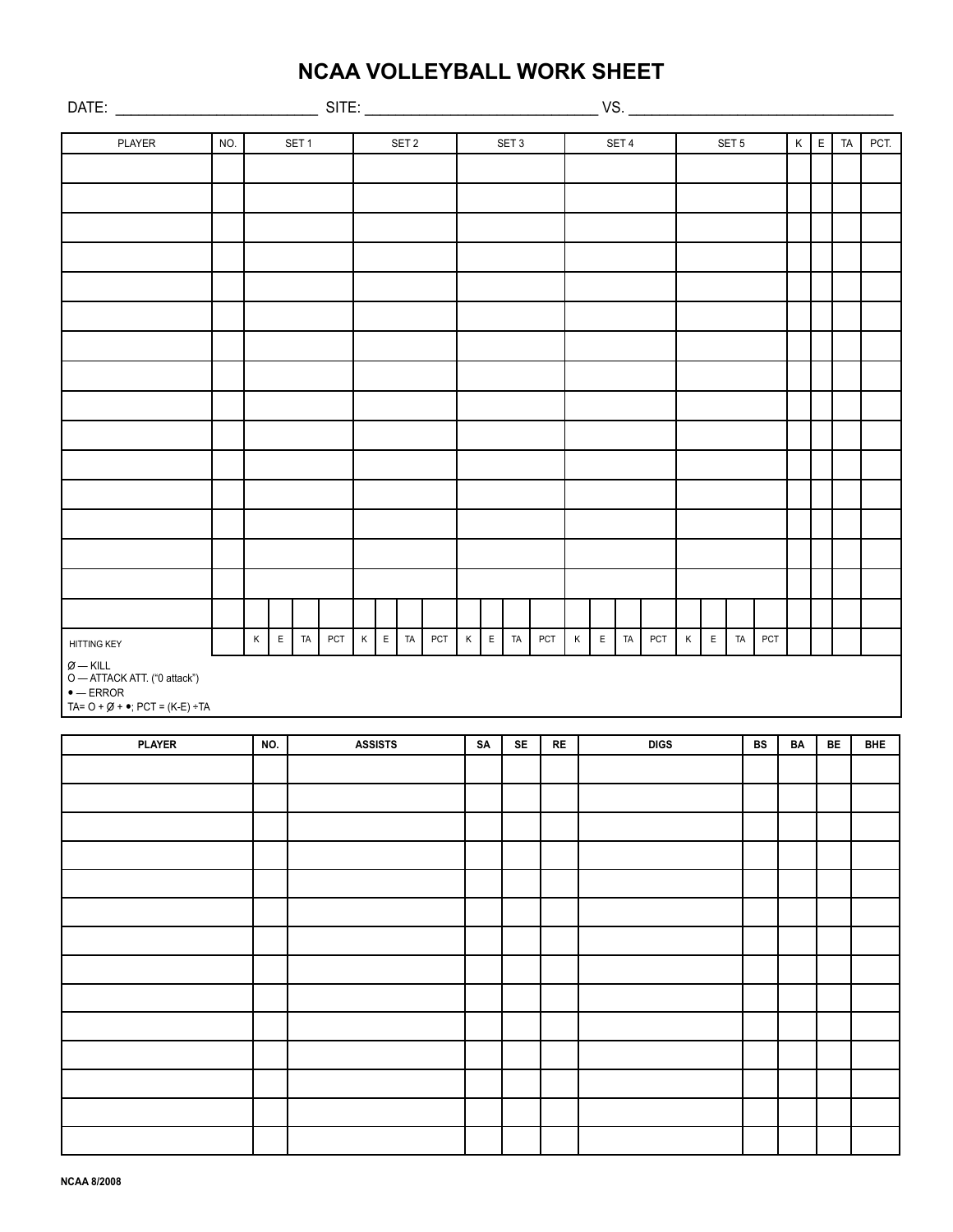# **NCAA VOLLEYBALL WORK SHEET**

| SITE:                                                                                                                               |     |             |                  |    |     |                  |  |              |     |                  |    |     |          |  |             | VS.          |             |     |  |                  |                |    |     |         |             |            |      |  |
|-------------------------------------------------------------------------------------------------------------------------------------|-----|-------------|------------------|----|-----|------------------|--|--------------|-----|------------------|----|-----|----------|--|-------------|--------------|-------------|-----|--|------------------|----------------|----|-----|---------|-------------|------------|------|--|
|                                                                                                                                     |     |             | SET <sub>1</sub> |    |     |                  |  |              |     |                  |    |     |          |  |             |              |             |     |  |                  |                |    |     |         |             |            |      |  |
| PLAYER                                                                                                                              | NO. |             |                  |    |     | SET <sub>2</sub> |  |              |     | SET <sub>3</sub> |    |     |          |  | SET 4       |              |             |     |  | SET <sub>5</sub> |                |    |     | $\sf K$ | $\mathsf E$ | TA         | PCT. |  |
|                                                                                                                                     |     |             |                  |    |     |                  |  |              |     |                  |    |     |          |  |             |              |             |     |  |                  |                |    |     |         |             |            |      |  |
|                                                                                                                                     |     |             |                  |    |     |                  |  |              |     |                  |    |     |          |  |             |              |             |     |  |                  |                |    |     |         |             |            |      |  |
|                                                                                                                                     |     |             |                  |    |     |                  |  |              |     |                  |    |     |          |  |             |              |             |     |  |                  |                |    |     |         |             |            |      |  |
|                                                                                                                                     |     |             |                  |    |     |                  |  |              |     |                  |    |     |          |  |             |              |             |     |  |                  |                |    |     |         |             |            |      |  |
|                                                                                                                                     |     |             |                  |    |     |                  |  |              |     |                  |    |     |          |  |             |              |             |     |  |                  |                |    |     |         |             |            |      |  |
|                                                                                                                                     |     |             |                  |    |     |                  |  |              |     |                  |    |     |          |  |             |              |             |     |  |                  |                |    |     |         |             |            |      |  |
|                                                                                                                                     |     |             |                  |    |     |                  |  |              |     |                  |    |     |          |  |             |              |             |     |  |                  |                |    |     |         |             |            |      |  |
|                                                                                                                                     |     |             |                  |    |     |                  |  |              |     |                  |    |     |          |  |             |              |             |     |  |                  |                |    |     |         |             |            |      |  |
|                                                                                                                                     |     |             |                  |    |     |                  |  |              |     |                  |    |     |          |  |             |              |             |     |  |                  |                |    |     |         |             |            |      |  |
|                                                                                                                                     |     |             |                  |    |     |                  |  |              |     |                  |    |     |          |  |             |              |             |     |  |                  |                |    |     |         |             |            |      |  |
|                                                                                                                                     |     |             |                  |    |     |                  |  |              |     |                  |    |     |          |  |             |              |             |     |  |                  |                |    |     |         |             |            |      |  |
|                                                                                                                                     |     |             |                  |    |     |                  |  |              |     |                  |    |     |          |  |             |              |             |     |  |                  |                |    |     |         |             |            |      |  |
|                                                                                                                                     |     |             |                  |    |     |                  |  |              |     |                  |    |     |          |  |             |              |             |     |  |                  |                |    |     |         |             |            |      |  |
|                                                                                                                                     |     |             |                  |    |     |                  |  |              |     |                  |    |     |          |  |             |              |             |     |  |                  |                |    |     |         |             |            |      |  |
|                                                                                                                                     |     |             |                  |    |     |                  |  |              |     |                  |    |     |          |  |             |              |             |     |  |                  |                |    |     |         |             |            |      |  |
|                                                                                                                                     |     |             |                  |    |     |                  |  |              |     |                  |    |     |          |  |             |              |             |     |  |                  |                |    |     |         |             |            |      |  |
| <b>HITTING KEY</b>                                                                                                                  |     | $\mathsf K$ | $\mathsf E$      | TA | PCT |                  |  | $K$ $E$ $TA$ | PCT | $\mathsf K$      |    | ETA | PCT      |  | $\mathsf K$ | $\mathsf{E}$ | TA          | PCT |  | K                | $\mathsf{E}^-$ | TA | PCT |         |             |            |      |  |
| $\varnothing-\mathsf{KILL}$<br>O - ATTACK ATT. ("0 attack")<br>$\bullet$ — ERROR<br>TA= $O + \emptyset + \bullet$ ; PCT = (K-E) ÷TA |     |             |                  |    |     |                  |  |              |     |                  |    |     |          |  |             |              |             |     |  |                  |                |    |     |         |             |            |      |  |
|                                                                                                                                     |     |             |                  |    |     |                  |  |              |     |                  |    |     |          |  |             |              |             |     |  |                  |                |    |     |         |             |            |      |  |
| <b>PLAYER</b>                                                                                                                       |     | NO.         |                  |    |     | <b>ASSISTS</b>   |  |              |     | SA               | SE |     | $\sf RE$ |  |             |              | <b>DIGS</b> |     |  |                  |                | BS | BA  |         | BE          | <b>BHE</b> |      |  |
|                                                                                                                                     |     |             |                  |    |     |                  |  |              |     |                  |    |     |          |  |             |              |             |     |  |                  |                |    |     |         |             |            |      |  |
|                                                                                                                                     |     |             |                  |    |     |                  |  |              |     |                  |    |     |          |  |             |              |             |     |  |                  |                |    |     |         |             |            |      |  |
|                                                                                                                                     |     |             |                  |    |     |                  |  |              |     |                  |    |     |          |  |             |              |             |     |  |                  |                |    |     |         |             |            |      |  |
|                                                                                                                                     |     |             |                  |    |     |                  |  |              |     |                  |    |     |          |  |             |              |             |     |  |                  |                |    |     |         |             |            |      |  |
|                                                                                                                                     |     |             |                  |    |     |                  |  |              |     |                  |    |     |          |  |             |              |             |     |  |                  |                |    |     |         |             |            |      |  |
|                                                                                                                                     |     |             |                  |    |     |                  |  |              |     |                  |    |     |          |  |             |              |             |     |  |                  |                |    |     |         |             |            |      |  |
|                                                                                                                                     |     |             |                  |    |     |                  |  |              |     |                  |    |     |          |  |             |              |             |     |  |                  |                |    |     |         |             |            |      |  |
|                                                                                                                                     |     |             |                  |    |     |                  |  |              |     |                  |    |     |          |  |             |              |             |     |  |                  |                |    |     |         |             |            |      |  |
|                                                                                                                                     |     |             |                  |    |     |                  |  |              |     |                  |    |     |          |  |             |              |             |     |  |                  |                |    |     |         |             |            |      |  |
|                                                                                                                                     |     |             |                  |    |     |                  |  |              |     |                  |    |     |          |  |             |              |             |     |  |                  |                |    |     |         |             |            |      |  |
|                                                                                                                                     |     |             |                  |    |     |                  |  |              |     |                  |    |     |          |  |             |              |             |     |  |                  |                |    |     |         |             |            |      |  |
|                                                                                                                                     |     |             |                  |    |     |                  |  |              |     |                  |    |     |          |  |             |              |             |     |  |                  |                |    |     |         |             |            |      |  |
|                                                                                                                                     |     |             |                  |    |     |                  |  |              |     |                  |    |     |          |  |             |              |             |     |  |                  |                |    |     |         |             |            |      |  |
|                                                                                                                                     |     |             |                  |    |     |                  |  |              |     |                  |    |     |          |  |             |              |             |     |  |                  |                |    |     |         |             |            |      |  |